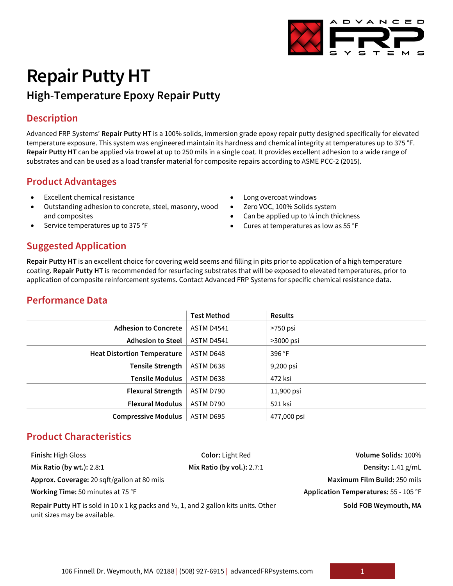# **Repair Putty HT High-Temperature Epoxy Repair Putty**

# **Description**

Advanced FRP Systems' **Repair Putty HT** is a 100% solids, immersion grade epoxy repair putty designed specifically for elevated temperature exposure. This system was engineered maintain its hardness and chemical integrity at temperatures up to 375 °F. **Repair Putty HT** can be applied via trowel at up to 250 mils in a single coat. It provides excellent adhesion to a wide range of substrates and can be used as a load transfer material for composite repairs according to ASME PCC-2 (2015).

# **Product Advantages**

- Excellent chemical resistance
- Outstanding adhesion to concrete, steel, masonry, wood and composites
- Service temperatures up to 375 °F
- Long overcoat windows
- Zero VOC, 100% Solids system
- Can be applied up to ¼ inch thickness
- Cures at temperatures as low as 55 °F

# **Suggested Application**

**Repair Putty HT** is an excellent choice for covering weld seems and filling in pits prior to application of a high temperature coating. **Repair Putty HT** is recommended for resurfacing substrates that will be exposed to elevated temperatures, prior to application of composite reinforcement systems. Contact Advanced FRP Systems for specific chemical resistance data.

# **Performance Data**

|                                    | <b>Test Method</b> | <b>Results</b> |
|------------------------------------|--------------------|----------------|
| <b>Adhesion to Concrete</b>        | <b>ASTM D4541</b>  | >750 psi       |
| <b>Adhesion to Steel</b>           | <b>ASTM D4541</b>  | $>3000$ psi    |
| <b>Heat Distortion Temperature</b> | ASTM D648          | 396 °F         |
| <b>Tensile Strength</b>            | ASTM D638          | 9,200 psi      |
| <b>Tensile Modulus</b>             | ASTM D638          | 472 ksi        |
| <b>Flexural Strength</b>           | ASTM D790          | 11,900 psi     |
| <b>Flexural Modulus</b>            | ASTM D790          | 521 ksi        |
| <b>Compressive Modulus</b>         | ASTM D695          | 477,000 psi    |

# **Product Characteristics**

| <b>Finish: High Gloss</b>                                                                                                               | <b>Color: Light Red</b>    | Volume Solids: 100%                   |
|-----------------------------------------------------------------------------------------------------------------------------------------|----------------------------|---------------------------------------|
| Mix Ratio (by wt.): $2.8:1$                                                                                                             | Mix Ratio (by vol.): 2.7:1 | Density: $1.41$ g/mL                  |
| Approx. Coverage: 20 sqft/gallon at 80 mils                                                                                             |                            | Maximum Film Build: 250 mils          |
| Working Time: 50 minutes at 75 °F                                                                                                       |                            | Application Temperatures: 55 - 105 °F |
| <b>Repair Putty HT</b> is sold in 10 x 1 kg packs and $\frac{1}{2}$ , 1, and 2 gallon kits units. Other<br>unit sizes may be available. |                            | Sold FOB Weymouth, MA                 |

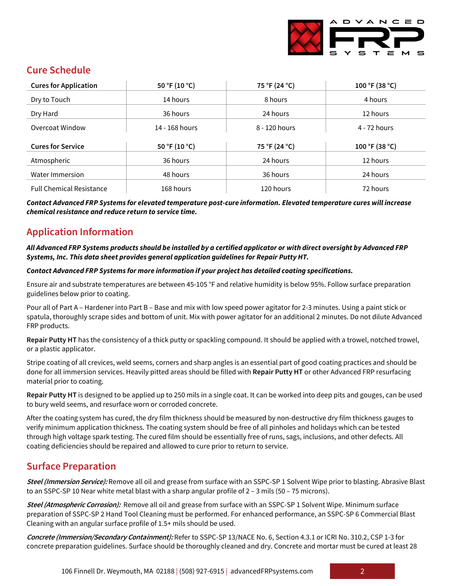

# **Cure Schedule**

| <b>Cures for Application</b>    | 50 °F (10 °C)  | 75 °F (24 °C) | 100 °F (38 °C) |
|---------------------------------|----------------|---------------|----------------|
| Dry to Touch                    | 14 hours       | 8 hours       | 4 hours        |
| Dry Hard                        | 36 hours       | 24 hours      | 12 hours       |
| Overcoat Window                 | 14 - 168 hours | 8 - 120 hours | 4 - 72 hours   |
| <b>Cures for Service</b>        |                |               |                |
|                                 | 50 °F (10 °C)  | 75 °F (24 °C) | 100 °F (38 °C) |
| Atmospheric                     | 36 hours       | 24 hours      | 12 hours       |
| Water Immersion                 | 48 hours       | 36 hours      | 24 hours       |
| <b>Full Chemical Resistance</b> | 168 hours      | 120 hours     | 72 hours       |

*Contact Advanced FRP Systems for elevated temperature post-cure information. Elevated temperature cures will increase chemical resistance and reduce return to service time.*

# **Application Information**

#### *All Advanced FRP Systems products should be installed by a certified applicator or with direct oversight by Advanced FRP Systems, Inc. This data sheet provides general application guidelines for Repair Putty HT.*

#### *Contact Advanced FRP Systems for more information if your project has detailed coating specifications.*

Ensure air and substrate temperatures are between 45-105 °F and relative humidity is below 95%. Follow surface preparation guidelines below prior to coating.

Pour all of Part A – Hardener into Part B – Base and mix with low speed power agitator for 2-3 minutes. Using a paint stick or spatula, thoroughly scrape sides and bottom of unit. Mix with power agitator for an additional 2 minutes. Do not dilute Advanced FRP products.

**Repair Putty HT** has the consistency of a thick putty or spackling compound. It should be applied with a trowel, notched trowel, or a plastic applicator.

Stripe coating of all crevices, weld seems, corners and sharp angles is an essential part of good coating practices and should be done for all immersion services. Heavily pitted areas should be filled with **Repair Putty HT** or other Advanced FRP resurfacing material prior to coating.

**Repair Putty HT** is designed to be applied up to 250 mils in a single coat. It can be worked into deep pits and gouges, can be used to bury weld seems, and resurface worn or corroded concrete.

After the coating system has cured, the dry film thickness should be measured by non-destructive dry film thickness gauges to verify minimum application thickness. The coating system should be free of all pinholes and holidays which can be tested through high voltage spark testing. The cured film should be essentially free of runs, sags, inclusions, and other defects. All coating deficiencies should be repaired and allowed to cure prior to return to service.

# **Surface Preparation**

**Steel (Immersion Service):** Remove all oil and grease from surface with an SSPC-SP 1 Solvent Wipe prior to blasting. Abrasive Blast to an SSPC-SP 10 Near white metal blast with a sharp angular profile of 2 – 3 mils (50 – 75 microns).

**Steel (Atmospheric Corrosion):** Remove all oil and grease from surface with an SSPC-SP 1 Solvent Wipe. Minimum surface preparation of SSPC-SP 2 Hand Tool Cleaning must be performed. For enhanced performance, an SSPC-SP 6 Commercial Blast Cleaning with an angular surface profile of 1.5+ mils should be used.

**Concrete (Immersion/Secondary Containment):** Refer to SSPC-SP 13/NACE No. 6, Section 4.3.1 or ICRI No. 310.2, CSP 1-3 for concrete preparation guidelines. Surface should be thoroughly cleaned and dry. Concrete and mortar must be cured at least 28